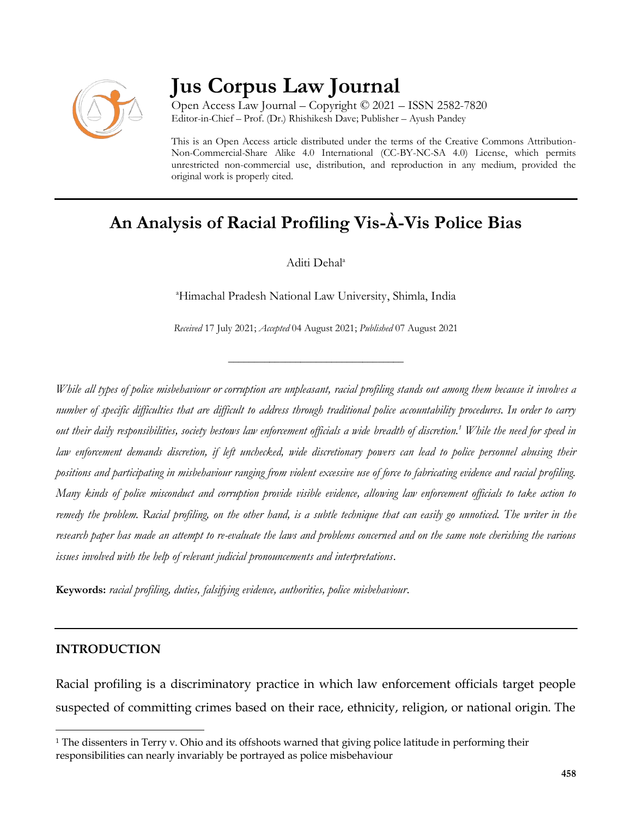

# **Jus Corpus Law Journal**

Open Access Law Journal – Copyright © 2021 – ISSN 2582-7820 Editor-in-Chief – Prof. (Dr.) Rhishikesh Dave; Publisher – Ayush Pandey

This is an Open Access article distributed under the terms of the Creative Commons Attribution-Non-Commercial-Share Alike 4.0 International (CC-BY-NC-SA 4.0) License, which permits unrestricted non-commercial use, distribution, and reproduction in any medium, provided the original work is properly cited.

## **An Analysis of Racial Profiling Vis-À-Vis Police Bias**

Aditi Dehal<sup>a</sup>

<sup>a</sup>Himachal Pradesh National Law University, Shimla, India

*Received* 17 July 2021; *Accepted* 04 August 2021; *Published* 07 August 2021

\_\_\_\_\_\_\_\_\_\_\_\_\_\_\_\_\_\_\_\_\_\_\_\_\_\_\_\_\_\_\_\_\_\_

*While all types of police misbehaviour or corruption are unpleasant, racial profiling stands out among them because it involves a number of specific difficulties that are difficult to address through traditional police accountability procedures. In order to carry out their daily responsibilities, society bestows law enforcement officials a wide breadth of discretion.<sup>1</sup> While the need for speed in law enforcement demands discretion, if left unchecked, wide discretionary powers can lead to police personnel abusing their positions and participating in misbehaviour ranging from violent excessive use of force to fabricating evidence and racial profiling. Many kinds of police misconduct and corruption provide visible evidence, allowing law enforcement officials to take action to remedy the problem. Racial profiling, on the other hand, is a subtle technique that can easily go unnoticed. The writer in the research paper has made an attempt to re-evaluate the laws and problems concerned and on the same note cherishing the various issues involved with the help of relevant judicial pronouncements and interpretations.*

**Keywords:** *racial profiling, duties, falsifying evidence, authorities, police misbehaviour*.

## **INTRODUCTION**

 $\overline{\phantom{a}}$ 

Racial profiling is a discriminatory practice in which law enforcement officials target people suspected of committing crimes based on their race, ethnicity, religion, or national origin. The

<sup>&</sup>lt;sup>1</sup> The dissenters in Terry v. Ohio and its offshoots warned that giving police latitude in performing their responsibilities can nearly invariably be portrayed as police misbehaviour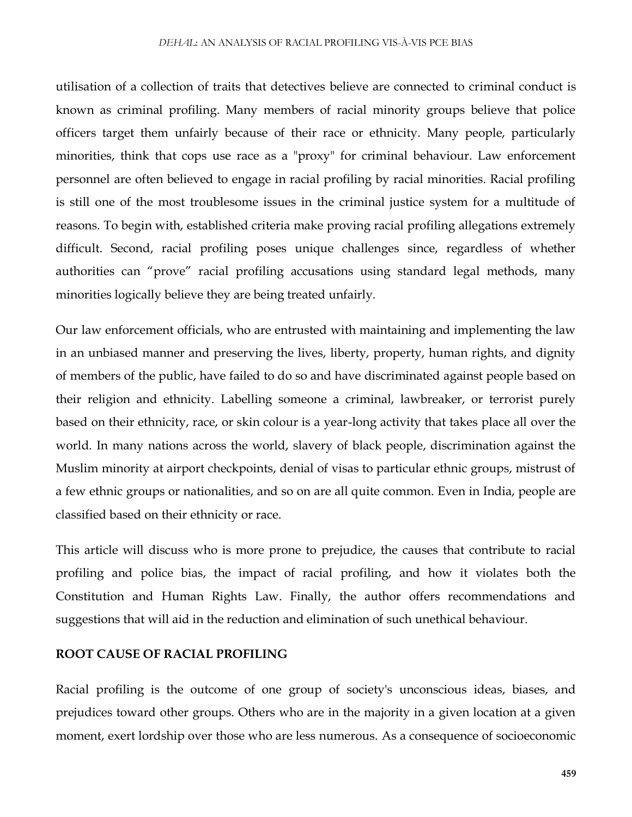#### *DEHAL*: AN ANALYSIS OF RACIAL PROFILING VIS-À-VIS PCE BIAS

utilisation of a collection of traits that detectives believe are connected to criminal conduct is known as criminal profiling. Many members of racial minority groups believe that police officers target them unfairly because of their race or ethnicity. Many people, particularly minorities, think that cops use race as a "proxy" for criminal behaviour. Law enforcement personnel are often believed to engage in racial profiling by racial minorities. Racial profiling is still one of the most troublesome issues in the criminal justice system for a multitude of reasons. To begin with, established criteria make proving racial profiling allegations extremely difficult. Second, racial profiling poses unique challenges since, regardless of whether authorities can "prove" racial profiling accusations using standard legal methods, many minorities logically believe they are being treated unfairly.

Our law enforcement officials, who are entrusted with maintaining and implementing the law in an unbiased manner and preserving the lives, liberty, property, human rights, and dignity of members of the public, have failed to do so and have discriminated against people based on their religion and ethnicity. Labelling someone a criminal, lawbreaker, or terrorist purely based on their ethnicity, race, or skin colour is a year-long activity that takes place all over the world. In many nations across the world, slavery of black people, discrimination against the Muslim minority at airport checkpoints, denial of visas to particular ethnic groups, mistrust of a few ethnic groups or nationalities, and so on are all quite common. Even in India, people are classified based on their ethnicity or race.

This article will discuss who is more prone to prejudice, the causes that contribute to racial profiling and police bias, the impact of racial profiling, and how it violates both the Constitution and Human Rights Law. Finally, the author offers recommendations and suggestions that will aid in the reduction and elimination of such unethical behaviour.

#### **ROOT CAUSE OF RACIAL PROFILING**

Racial profiling is the outcome of one group of society's unconscious ideas, biases, and prejudices toward other groups. Others who are in the majority in a given location at a given moment, exert lordship over those who are less numerous. As a consequence of socioeconomic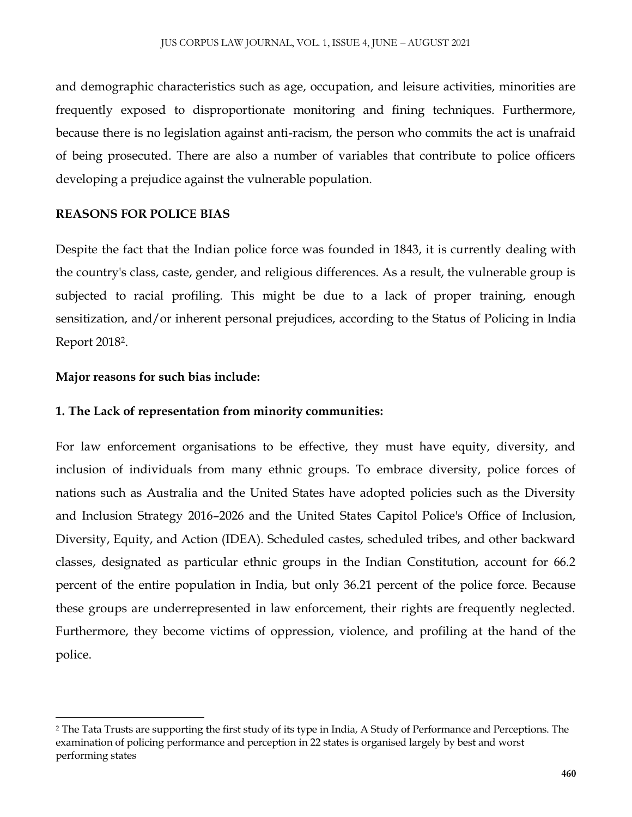and demographic characteristics such as age, occupation, and leisure activities, minorities are frequently exposed to disproportionate monitoring and fining techniques. Furthermore, because there is no legislation against anti-racism, the person who commits the act is unafraid of being prosecuted. There are also a number of variables that contribute to police officers developing a prejudice against the vulnerable population.

## **REASONS FOR POLICE BIAS**

Despite the fact that the Indian police force was founded in 1843, it is currently dealing with the country's class, caste, gender, and religious differences. As a result, the vulnerable group is subjected to racial profiling. This might be due to a lack of proper training, enough sensitization, and/or inherent personal prejudices, according to the Status of Policing in India Report 2018<sup>2</sup> .

## **Major reasons for such bias include:**

## **1. The Lack of representation from minority communities:**

For law enforcement organisations to be effective, they must have equity, diversity, and inclusion of individuals from many ethnic groups. To embrace diversity, police forces of nations such as Australia and the United States have adopted policies such as the Diversity and Inclusion Strategy 2016–2026 and the United States Capitol Police's Office of Inclusion, Diversity, Equity, and Action (IDEA). Scheduled castes, scheduled tribes, and other backward classes, designated as particular ethnic groups in the Indian Constitution, account for 66.2 percent of the entire population in India, but only 36.21 percent of the police force. Because these groups are underrepresented in law enforcement, their rights are frequently neglected. Furthermore, they become victims of oppression, violence, and profiling at the hand of the police.

 $\overline{\phantom{a}}$ <sup>2</sup> The Tata Trusts are supporting the first study of its type in India, A Study of Performance and Perceptions. The examination of policing performance and perception in 22 states is organised largely by best and worst performing states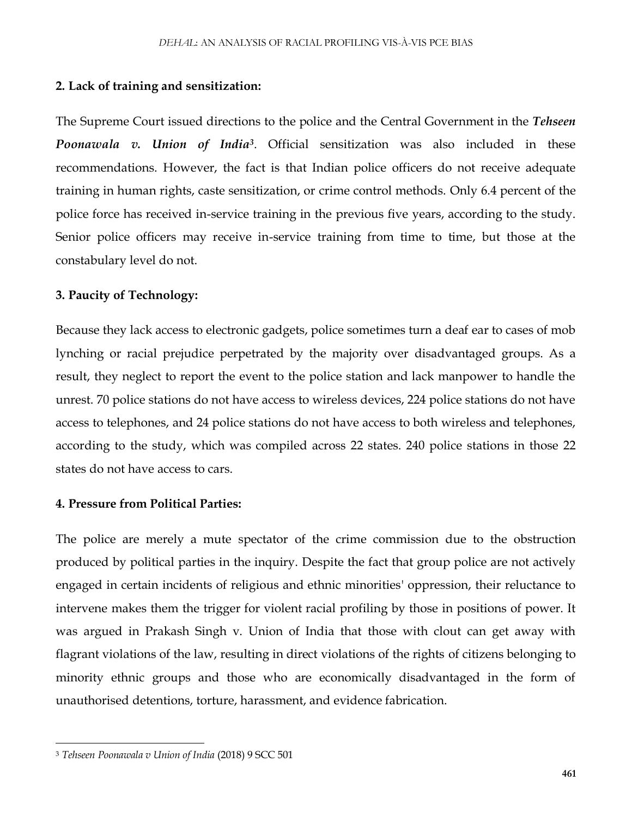#### **2. Lack of training and sensitization:**

The Supreme Court issued directions to the police and the Central Government in the *Tehseen Poonawala v. Union of India<sup>3</sup>* . Official sensitization was also included in these recommendations. However, the fact is that Indian police officers do not receive adequate training in human rights, caste sensitization, or crime control methods. Only 6.4 percent of the police force has received in-service training in the previous five years, according to the study. Senior police officers may receive in-service training from time to time, but those at the constabulary level do not.

#### **3. Paucity of Technology:**

Because they lack access to electronic gadgets, police sometimes turn a deaf ear to cases of mob lynching or racial prejudice perpetrated by the majority over disadvantaged groups. As a result, they neglect to report the event to the police station and lack manpower to handle the unrest. 70 police stations do not have access to wireless devices, 224 police stations do not have access to telephones, and 24 police stations do not have access to both wireless and telephones, according to the study, which was compiled across 22 states. 240 police stations in those 22 states do not have access to cars.

#### **4. Pressure from Political Parties:**

The police are merely a mute spectator of the crime commission due to the obstruction produced by political parties in the inquiry. Despite the fact that group police are not actively engaged in certain incidents of religious and ethnic minorities' oppression, their reluctance to intervene makes them the trigger for violent racial profiling by those in positions of power. It was argued in Prakash Singh v. Union of India that those with clout can get away with flagrant violations of the law, resulting in direct violations of the rights of citizens belonging to minority ethnic groups and those who are economically disadvantaged in the form of unauthorised detentions, torture, harassment, and evidence fabrication.

 $\overline{\phantom{a}}$ 

<sup>3</sup> *Tehseen Poonawala v Union of India* (2018) 9 SCC 501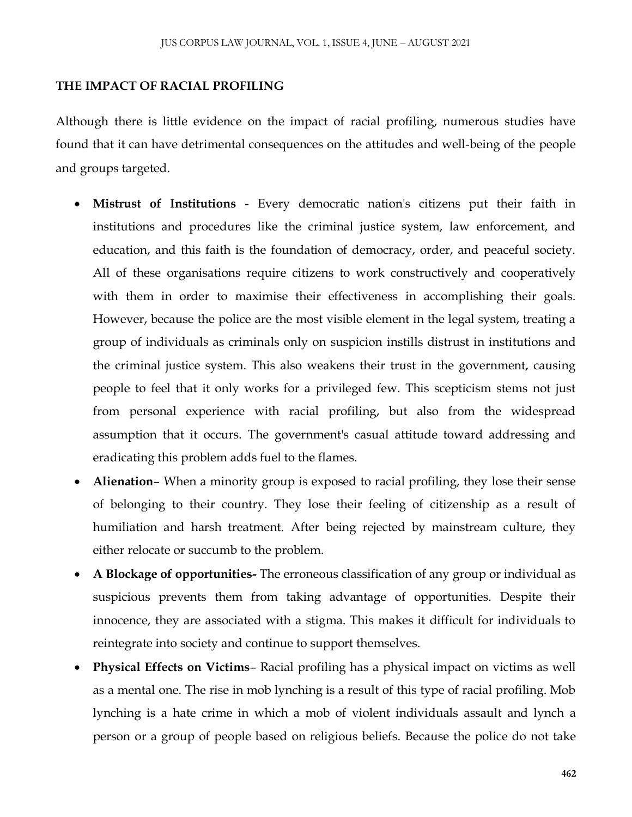#### **THE IMPACT OF RACIAL PROFILING**

Although there is little evidence on the impact of racial profiling, numerous studies have found that it can have detrimental consequences on the attitudes and well-being of the people and groups targeted.

- **Mistrust of Institutions** Every democratic nation's citizens put their faith in institutions and procedures like the criminal justice system, law enforcement, and education, and this faith is the foundation of democracy, order, and peaceful society. All of these organisations require citizens to work constructively and cooperatively with them in order to maximise their effectiveness in accomplishing their goals. However, because the police are the most visible element in the legal system, treating a group of individuals as criminals only on suspicion instills distrust in institutions and the criminal justice system. This also weakens their trust in the government, causing people to feel that it only works for a privileged few. This scepticism stems not just from personal experience with racial profiling, but also from the widespread assumption that it occurs. The government's casual attitude toward addressing and eradicating this problem adds fuel to the flames.
- **Alienation** When a minority group is exposed to racial profiling, they lose their sense of belonging to their country. They lose their feeling of citizenship as a result of humiliation and harsh treatment. After being rejected by mainstream culture, they either relocate or succumb to the problem.
- **A Blockage of opportunities-** The erroneous classification of any group or individual as suspicious prevents them from taking advantage of opportunities. Despite their innocence, they are associated with a stigma. This makes it difficult for individuals to reintegrate into society and continue to support themselves.
- **Physical Effects on Victims** Racial profiling has a physical impact on victims as well as a mental one. The rise in mob lynching is a result of this type of racial profiling. Mob lynching is a hate crime in which a mob of violent individuals assault and lynch a person or a group of people based on religious beliefs. Because the police do not take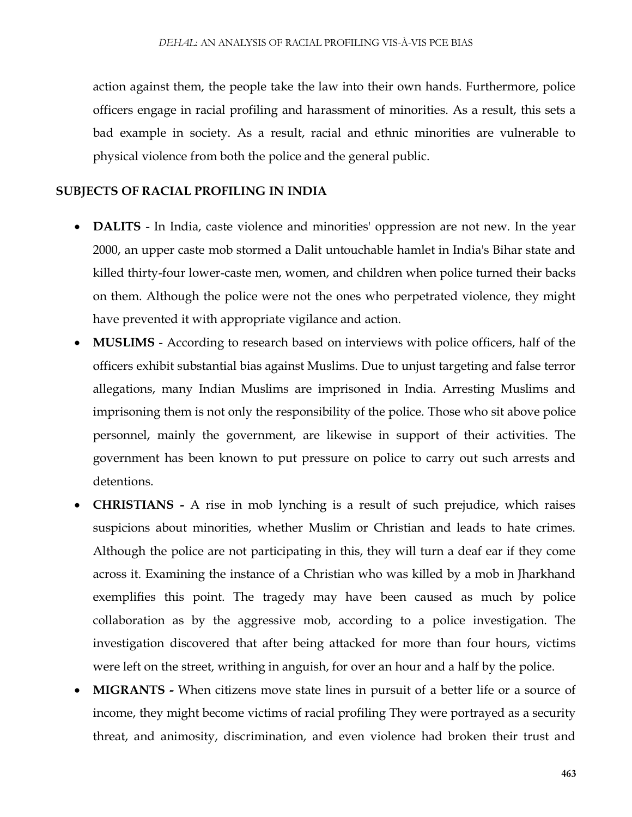action against them, the people take the law into their own hands. Furthermore, police officers engage in racial profiling and harassment of minorities. As a result, this sets a bad example in society. As a result, racial and ethnic minorities are vulnerable to physical violence from both the police and the general public.

#### **SUBJECTS OF RACIAL PROFILING IN INDIA**

- **DALITS**  In India, caste violence and minorities' oppression are not new. In the year 2000, an upper caste mob stormed a Dalit untouchable hamlet in India's Bihar state and killed thirty-four lower-caste men, women, and children when police turned their backs on them. Although the police were not the ones who perpetrated violence, they might have prevented it with appropriate vigilance and action.
- **MUSLIMS** According to research based on interviews with police officers, half of the officers exhibit substantial bias against Muslims. Due to unjust targeting and false terror allegations, many Indian Muslims are imprisoned in India. Arresting Muslims and imprisoning them is not only the responsibility of the police. Those who sit above police personnel, mainly the government, are likewise in support of their activities. The government has been known to put pressure on police to carry out such arrests and detentions.
- **CHRISTIANS -** A rise in mob lynching is a result of such prejudice, which raises suspicions about minorities, whether Muslim or Christian and leads to hate crimes. Although the police are not participating in this, they will turn a deaf ear if they come across it. Examining the instance of a Christian who was killed by a mob in Jharkhand exemplifies this point. The tragedy may have been caused as much by police collaboration as by the aggressive mob, according to a police investigation. The investigation discovered that after being attacked for more than four hours, victims were left on the street, writhing in anguish, for over an hour and a half by the police.
- **MIGRANTS -** When citizens move state lines in pursuit of a better life or a source of income, they might become victims of racial profiling They were portrayed as a security threat, and animosity, discrimination, and even violence had broken their trust and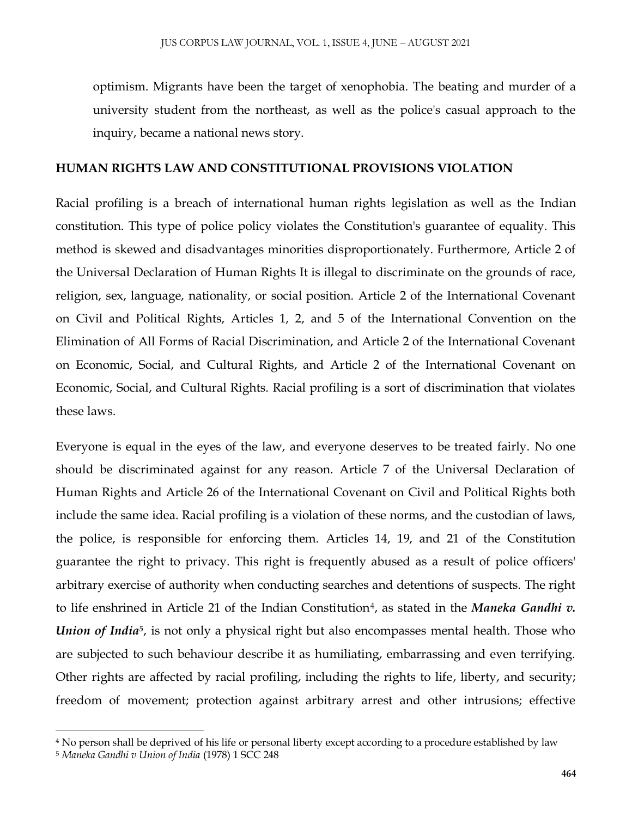optimism. Migrants have been the target of xenophobia. The beating and murder of a university student from the northeast, as well as the police's casual approach to the inquiry, became a national news story.

### **HUMAN RIGHTS LAW AND CONSTITUTIONAL PROVISIONS VIOLATION**

Racial profiling is a breach of international human rights legislation as well as the Indian constitution. This type of police policy violates the Constitution's guarantee of equality. This method is skewed and disadvantages minorities disproportionately. Furthermore, Article 2 of the Universal Declaration of Human Rights It is illegal to discriminate on the grounds of race, religion, sex, language, nationality, or social position. Article 2 of the International Covenant on Civil and Political Rights, Articles 1, 2, and 5 of the International Convention on the Elimination of All Forms of Racial Discrimination, and Article 2 of the International Covenant on Economic, Social, and Cultural Rights, and Article 2 of the International Covenant on Economic, Social, and Cultural Rights. Racial profiling is a sort of discrimination that violates these laws.

Everyone is equal in the eyes of the law, and everyone deserves to be treated fairly. No one should be discriminated against for any reason. Article 7 of the Universal Declaration of Human Rights and Article 26 of the International Covenant on Civil and Political Rights both include the same idea. Racial profiling is a violation of these norms, and the custodian of laws, the police, is responsible for enforcing them. Articles 14, 19, and 21 of the Constitution guarantee the right to privacy. This right is frequently abused as a result of police officers' arbitrary exercise of authority when conducting searches and detentions of suspects. The right to life enshrined in Article 21 of the Indian Constitution<sup>4</sup>, as stated in the *Maneka Gandhi v*. *Union of India<sup>5</sup>*, is not only a physical right but also encompasses mental health. Those who are subjected to such behaviour describe it as humiliating, embarrassing and even terrifying. Other rights are affected by racial profiling, including the rights to life, liberty, and security; freedom of movement; protection against arbitrary arrest and other intrusions; effective

 $\overline{\phantom{a}}$ 

<sup>4</sup> No person shall be deprived of his life or personal liberty except according to a procedure established by law

<sup>5</sup> *Maneka Gandhi v Union of India* (1978) 1 SCC 248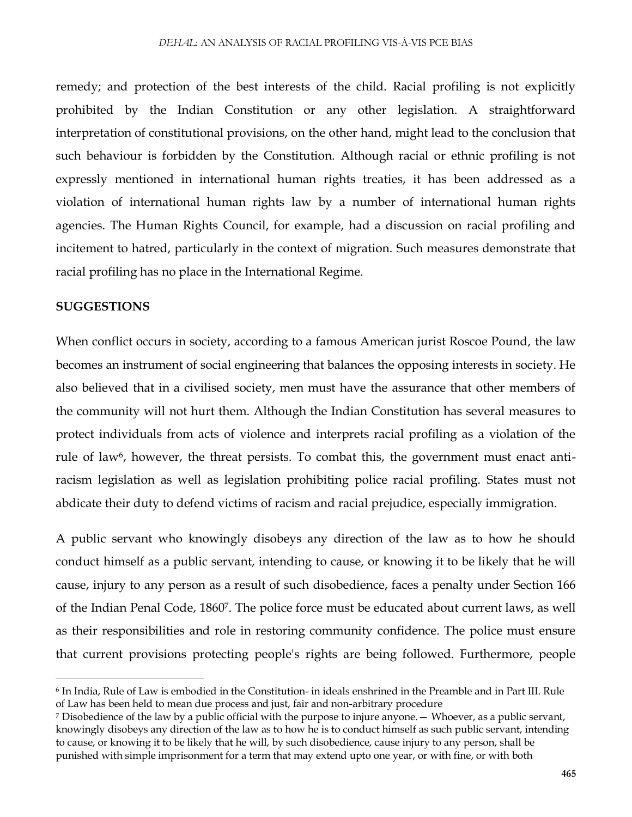remedy; and protection of the best interests of the child. Racial profiling is not explicitly prohibited by the Indian Constitution or any other legislation. A straightforward interpretation of constitutional provisions, on the other hand, might lead to the conclusion that such behaviour is forbidden by the Constitution. Although racial or ethnic profiling is not expressly mentioned in international human rights treaties, it has been addressed as a violation of international human rights law by a number of international human rights agencies. The Human Rights Council, for example, had a discussion on racial profiling and incitement to hatred, particularly in the context of migration. Such measures demonstrate that racial profiling has no place in the International Regime.

#### **SUGGESTIONS**

 $\overline{a}$ 

When conflict occurs in society, according to a famous American jurist Roscoe Pound, the law becomes an instrument of social engineering that balances the opposing interests in society. He also believed that in a civilised society, men must have the assurance that other members of the community will not hurt them. Although the Indian Constitution has several measures to protect individuals from acts of violence and interprets racial profiling as a violation of the rule of law<sup>6</sup>, however, the threat persists. To combat this, the government must enact antiracism legislation as well as legislation prohibiting police racial profiling. States must not abdicate their duty to defend victims of racism and racial prejudice, especially immigration.

A public servant who knowingly disobeys any direction of the law as to how he should conduct himself as a public servant, intending to cause, or knowing it to be likely that he will cause, injury to any person as a result of such disobedience, faces a penalty under Section 166 of the Indian Penal Code, 1860<sup>7</sup> . The police force must be educated about current laws, as well as their responsibilities and role in restoring community confidence. The police must ensure that current provisions protecting people's rights are being followed. Furthermore, people

<sup>6</sup> In India, Rule of Law is embodied in the Constitution- in ideals enshrined in the Preamble and in Part III. Rule of Law has been held to mean due process and just, fair and non-arbitrary procedure

<sup>7</sup> Disobedience of the law by a public official with the purpose to injure anyone.— Whoever, as a public servant, knowingly disobeys any direction of the law as to how he is to conduct himself as such public servant, intending to cause, or knowing it to be likely that he will, by such disobedience, cause injury to any person, shall be punished with simple imprisonment for a term that may extend upto one year, or with fine, or with both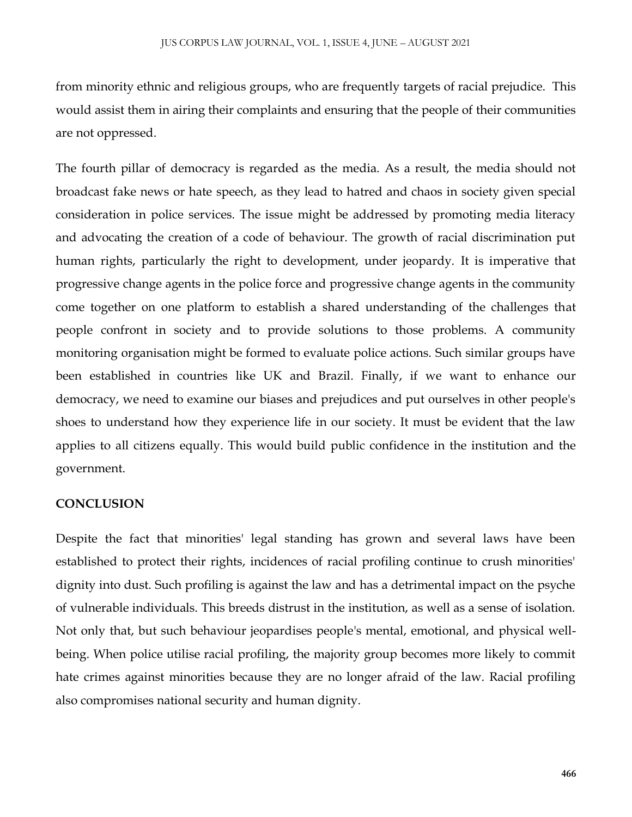from minority ethnic and religious groups, who are frequently targets of racial prejudice. This would assist them in airing their complaints and ensuring that the people of their communities are not oppressed.

The fourth pillar of democracy is regarded as the media. As a result, the media should not broadcast fake news or hate speech, as they lead to hatred and chaos in society given special consideration in police services. The issue might be addressed by promoting media literacy and advocating the creation of a code of behaviour. The growth of racial discrimination put human rights, particularly the right to development, under jeopardy. It is imperative that progressive change agents in the police force and progressive change agents in the community come together on one platform to establish a shared understanding of the challenges that people confront in society and to provide solutions to those problems. A community monitoring organisation might be formed to evaluate police actions. Such similar groups have been established in countries like UK and Brazil. Finally, if we want to enhance our democracy, we need to examine our biases and prejudices and put ourselves in other people's shoes to understand how they experience life in our society. It must be evident that the law applies to all citizens equally. This would build public confidence in the institution and the government.

## **CONCLUSION**

Despite the fact that minorities' legal standing has grown and several laws have been established to protect their rights, incidences of racial profiling continue to crush minorities' dignity into dust. Such profiling is against the law and has a detrimental impact on the psyche of vulnerable individuals. This breeds distrust in the institution, as well as a sense of isolation. Not only that, but such behaviour jeopardises people's mental, emotional, and physical wellbeing. When police utilise racial profiling, the majority group becomes more likely to commit hate crimes against minorities because they are no longer afraid of the law. Racial profiling also compromises national security and human dignity.